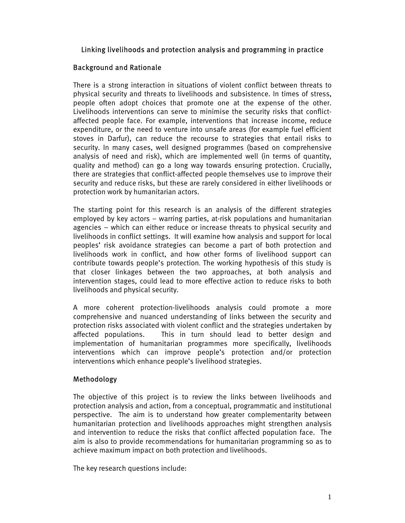# Linking livelihoods and protection analysis and programming in practice

# Background and Rationale

There is a strong interaction in situations of violent conflict between threats to physical security and threats to livelihoods and subsistence. In times of stress, people often adopt choices that promote one at the expense of the other. Livelihoods interventions can serve to minimise the security risks that conflictaffected people face. For example, interventions that increase income, reduce expenditure, or the need to venture into unsafe areas (for example fuel efficient stoves in Darfur), can reduce the recourse to strategies that entail risks to security. In many cases, well designed programmes (based on comprehensive analysis of need and risk), which are implemented well (in terms of quantity, quality and method) can go a long way towards ensuring protection. Crucially, there are strategies that conflict-affected people themselves use to improve their security and reduce risks, but these are rarely considered in either livelihoods or protection work by humanitarian actors.

The starting point for this research is an analysis of the different strategies employed by key actors – warring parties, at-risk populations and humanitarian agencies – which can either reduce or increase threats to physical security and livelihoods in conflict settings. It will examine how analysis and support for local peoples' risk avoidance strategies can become a part of both protection and livelihoods work in conflict, and how other forms of livelihood support can contribute towards people's protection. The working hypothesis of this study is that closer linkages between the two approaches, at both analysis and intervention stages, could lead to more effective action to reduce risks to both livelihoods and physical security.

A more coherent protection-livelihoods analysis could promote a more comprehensive and nuanced understanding of links between the security and protection risks associated with violent conflict and the strategies undertaken by affected populations. This in turn should lead to better design and implementation of humanitarian programmes more specifically, livelihoods interventions which can improve people's protection and/or protection interventions which enhance people's livelihood strategies.

# Methodology

The objective of this project is to review the links between livelihoods and protection analysis and action, from a conceptual, programmatic and institutional perspective. The aim is to understand how greater complementarity between humanitarian protection and livelihoods approaches might strengthen analysis and intervention to reduce the risks that conflict affected population face. The aim is also to provide recommendations for humanitarian programming so as to achieve maximum impact on both protection and livelihoods.

The key research questions include: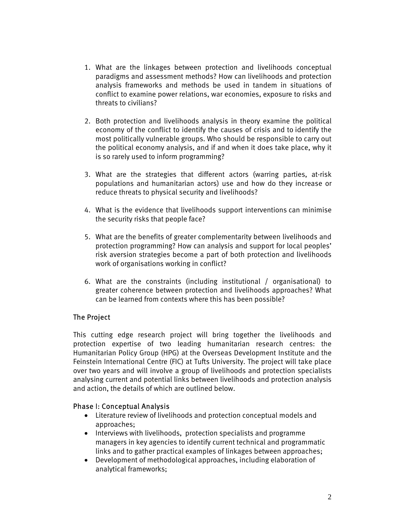- 1. What are the linkages between protection and livelihoods conceptual paradigms and assessment methods? How can livelihoods and protection analysis frameworks and methods be used in tandem in situations of conflict to examine power relations, war economies, exposure to risks and threats to civilians?
- 2. Both protection and livelihoods analysis in theory examine the political economy of the conflict to identify the causes of crisis and to identify the most politically vulnerable groups. Who should be responsible to carry out the political economy analysis, and if and when it does take place, why it is so rarely used to inform programming?
- 3. What are the strategies that different actors (warring parties, at-risk populations and humanitarian actors) use and how do they increase or reduce threats to physical security and livelihoods?
- 4. What is the evidence that livelihoods support interventions can minimise the security risks that people face?
- 5. What are the benefits of greater complementarity between livelihoods and protection programming? How can analysis and support for local peoples' risk aversion strategies become a part of both protection and livelihoods work of organisations working in conflict?
- 6. What are the constraints (including institutional / organisational) to greater coherence between protection and livelihoods approaches? What can be learned from contexts where this has been possible?

# The Project

This cutting edge research project will bring together the livelihoods and protection expertise of two leading humanitarian research centres: the Humanitarian Policy Group (HPG) at the Overseas Development Institute and the Feinstein International Centre (FIC) at Tufts University. The project will take place over two years and will involve a group of livelihoods and protection specialists analysing current and potential links between livelihoods and protection analysis and action, the details of which are outlined below.

# Phase I: Conceptual Analysis

- Literature review of livelihoods and protection conceptual models and approaches;
- Interviews with livelihoods, protection specialists and programme managers in key agencies to identify current technical and programmatic links and to gather practical examples of linkages between approaches;
- Development of methodological approaches, including elaboration of analytical frameworks;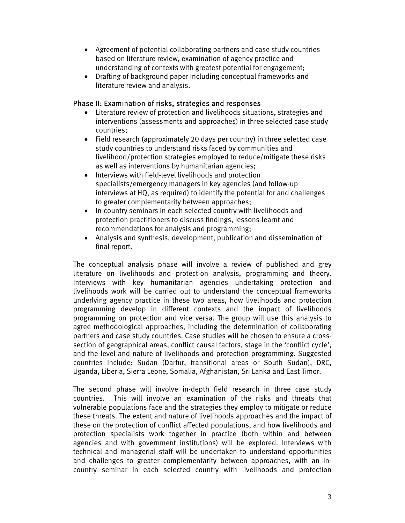- Agreement of potential collaborating partners and case study countries based on literature review, examination of agency practice and understanding of contexts with greatest potential for engagement;
- Drafting of background paper including conceptual frameworks and literature review and analysis.

### Phase II: Examination of risks, strategies and responses

- Literature review of protection and livelihoods situations, strategies and interventions (assessments and approaches) in three selected case study countries;
- Field research (approximately 20 days per country) in three selected case study countries to understand risks faced by communities and livelihood/protection strategies employed to reduce/mitigate these risks as well as interventions by humanitarian agencies;
- Interviews with field-level livelihoods and protection specialists/emergency managers in key agencies (and follow-up interviews at HQ, as required) to identify the potential for and challenges to greater complementarity between approaches;
- In-country seminars in each selected country with livelihoods and protection practitioners to discuss findings, lessons-learnt and recommendations for analysis and programming;
- Analysis and synthesis, development, publication and dissemination of final report.

The conceptual analysis phase will involve a review of published and grey literature on livelihoods and protection analysis, programming and theory. Interviews with key humanitarian agencies undertaking protection and livelihoods work will be carried out to understand the conceptual frameworks underlying agency practice in these two areas, how livelihoods and protection programming develop in different contexts and the impact of livelihoods programming on protection and vice versa. The group will use this analysis to agree methodological approaches, including the determination of collaborating partners and case study countries. Case studies will be chosen to ensure a crosssection of geographical areas, conflict causal factors, stage in the 'conflict cycle', and the level and nature of livelihoods and protection programming. Suggested countries include: Sudan (Darfur, transitional areas or South Sudan), DRC, Uganda, Liberia, Sierra Leone, Somalia, Afghanistan, Sri Lanka and East Timor.

The second phase will involve in-depth field research in three case study countries. This will involve an examination of the risks and threats that vulnerable populations face and the strategies they employ to mitigate or reduce these threats. The extent and nature of livelihoods approaches and the impact of these on the protection of conflict affected populations, and how livelihoods and protection specialists work together in practice (both within and between agencies and with government institutions) will be explored. Interviews with technical and managerial staff will be undertaken to understand opportunities and challenges to greater complementarity between approaches, with an incountry seminar in each selected country with livelihoods and protection